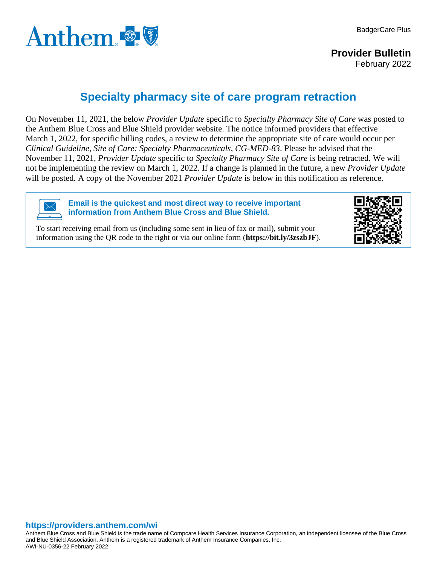

**Provider Bulletin** February 2022

## **Specialty pharmacy site of care program retraction**

On November 11, 2021, the below *Provider Update* specific to *Specialty Pharmacy Site of Care* was posted to the Anthem Blue Cross and Blue Shield provider website. The notice informed providers that effective March 1, 2022, for specific billing codes, a review to determine the appropriate site of care would occur per *Clinical Guideline*, *Site of Care: Specialty Pharmaceuticals, CG-MED-83*. Please be advised that the November 11, 2021, *Provider Update* specific to *Specialty Pharmacy Site of Care* is being retracted. We will not be implementing the review on March 1, 2022. If a change is planned in the future, a new *Provider Update* will be posted. A copy of the November 2021 *Provider Update* is below in this notification as reference.



**Email is the quickest and most direct way to receive important information from Anthem Blue Cross and Blue Shield.**

To start receiving email from us (including some sent in lieu of fax or mail), submit your information using the QR code to the right or via our online form (**<https://bit.ly/3zszbJF>**).



## **https://providers.anthem.com/wi**

Anthem Blue Cross and Blue Shield is the trade name of Compcare Health Services Insurance Corporation, an independent licensee of the Blue Cross and Blue Shield Association. Anthem is a registered trademark of Anthem Insurance Companies, Inc. AWI-NU-0356-22 February 2022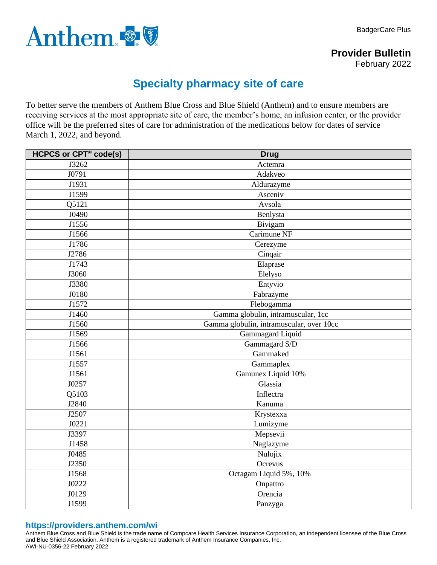

**Provider Bulletin** February 2022

## **Specialty pharmacy site of care**

To better serve the members of Anthem Blue Cross and Blue Shield (Anthem) and to ensure members are receiving services at the most appropriate site of care, the member's home, an infusion center, or the provider office will be the preferred sites of care for administration of the medications below for dates of service March 1, 2022, and beyond.

| <b>HCPCS or CPT® code(s)</b> | <b>Drug</b>                              |
|------------------------------|------------------------------------------|
| J3262                        | Actemra                                  |
| J0791                        | Adakveo                                  |
| J1931                        | Aldurazyme                               |
| J1599                        | Asceniv                                  |
| Q5121                        | Avsola                                   |
| J0490                        | Benlysta                                 |
| J1556                        | Bivigam                                  |
| J1566                        | Carimune NF                              |
| J1786                        | Cerezyme                                 |
| J2786                        | Cinqair                                  |
| J1743                        | Elaprase                                 |
| J3060                        | Elelyso                                  |
| J3380                        | Entyvio                                  |
| J0180                        | Fabrazyme                                |
| J1572                        | Flebogamma                               |
| J1460                        | Gamma globulin, intramuscular, 1cc       |
| J1560                        | Gamma globulin, intramuscular, over 10cc |
| J1569                        | Gammagard Liquid                         |
| J1566                        | Gammagard S/D                            |
| J1561                        | Gammaked                                 |
| J1557                        | Gammaplex                                |
| J1561                        | Gamunex Liquid 10%                       |
| J0257                        | Glassia                                  |
| Q5103                        | Inflectra                                |
| J2840                        | Kanuma                                   |
| J2507                        | Krystexxa                                |
| J0221                        | Lumizyme                                 |
| J3397                        | Mepsevii                                 |
| J1458                        | Naglazyme                                |
| J0485                        | Nulojix                                  |
| J2350                        | Ocrevus                                  |
| J1568                        | Octagam Liquid 5%, 10%                   |
| J0222                        | Onpattro                                 |
| J0129                        | Orencia                                  |
| J1599                        | Panzyga                                  |

## **https://providers.anthem.com/wi**

Anthem Blue Cross and Blue Shield is the trade name of Compcare Health Services Insurance Corporation, an independent licensee of the Blue Cross and Blue Shield Association. Anthem is a registered trademark of Anthem Insurance Companies, Inc. AWI-NU-0356-22 February 2022